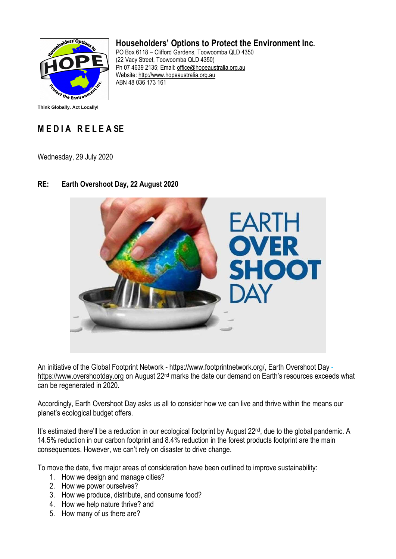

## **Householders' Options to Protect the Environment Inc.**

PO Box 6118 – Clifford Gardens, Toowoomba QLD 4350 (22 Vacy Street, Toowoomba QLD 4350) Ph 07 4639 2135; Email: [office@hopeaustralia.org.au](mailto:office@hopeaustralia.org.au)  Website: [http://www.hopeaustralia.org.au](http://www.hopeaustralia.org.au/) ABN 48 036 173 161

**Think Globally. Act Locally!**

## **M E D I A R E L E A SE**

Wednesday, 29 July 2020

## EARTH **VER HOOT**

## **RE: Earth Overshoot Day, 22 August 2020**

An initiative of the Global Footprint Network - [https://www.footprintnetwork.org/,](https://www.footprintnetwork.org/) Earth Overshoot Day [https://www.overshootday.org](https://www.overshootday.org/) on August 22<sup>nd</sup> marks the date our demand on Earth's resources exceeds what can be regenerated in 2020.

Accordingly, Earth Overshoot Day asks us all to consider how we can live and thrive within the means our planet's ecological budget offers.

It's estimated there'll be a reduction in our ecological footprint by August 22<sup>nd</sup>, due to the global pandemic. A 14.5% reduction in our carbon footprint and 8.4% reduction in the forest products footprint are the main consequences. However, we can't rely on disaster to drive change.

To move the date, five major areas of consideration have been outlined to improve sustainability:

- 1. How we design and manage cities?
- 2. How we power ourselves?
- 3. How we produce, distribute, and consume food?
- 4. How we help nature thrive? and
- 5. How many of us there are?